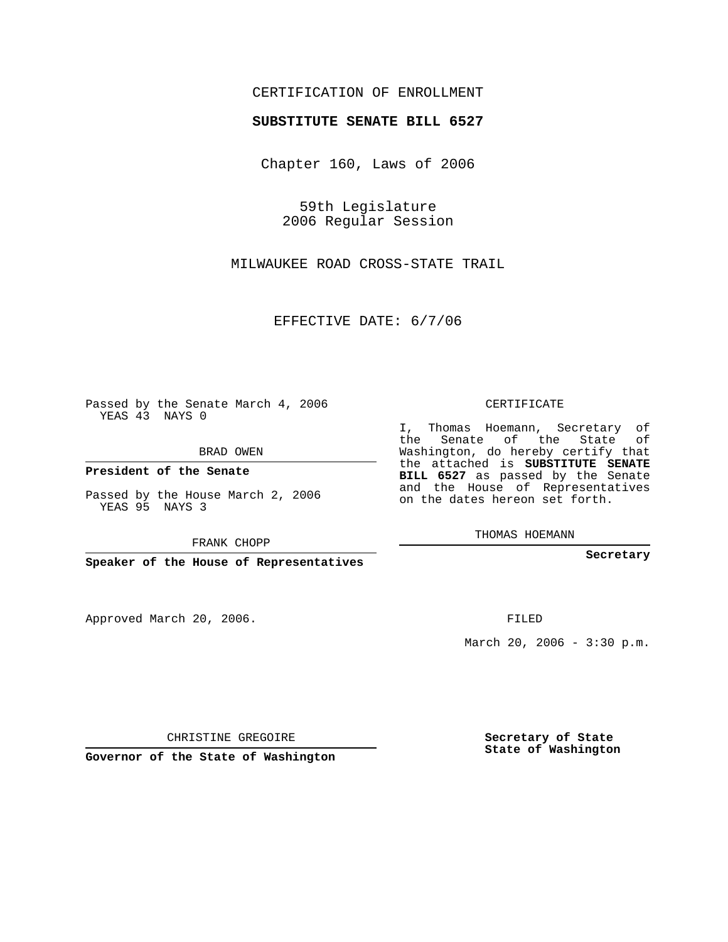## CERTIFICATION OF ENROLLMENT

## **SUBSTITUTE SENATE BILL 6527**

Chapter 160, Laws of 2006

59th Legislature 2006 Regular Session

MILWAUKEE ROAD CROSS-STATE TRAIL

EFFECTIVE DATE: 6/7/06

Passed by the Senate March 4, 2006 YEAS 43 NAYS 0

BRAD OWEN

**President of the Senate**

Passed by the House March 2, 2006 YEAS 95 NAYS 3

FRANK CHOPP

**Speaker of the House of Representatives**

Approved March 20, 2006.

CERTIFICATE

I, Thomas Hoemann, Secretary of the Senate of the State of Washington, do hereby certify that the attached is **SUBSTITUTE SENATE BILL 6527** as passed by the Senate and the House of Representatives on the dates hereon set forth.

THOMAS HOEMANN

**Secretary**

FILED

March 20, 2006 -  $3:30 \text{ p.m.}$ 

CHRISTINE GREGOIRE

**Governor of the State of Washington**

**Secretary of State State of Washington**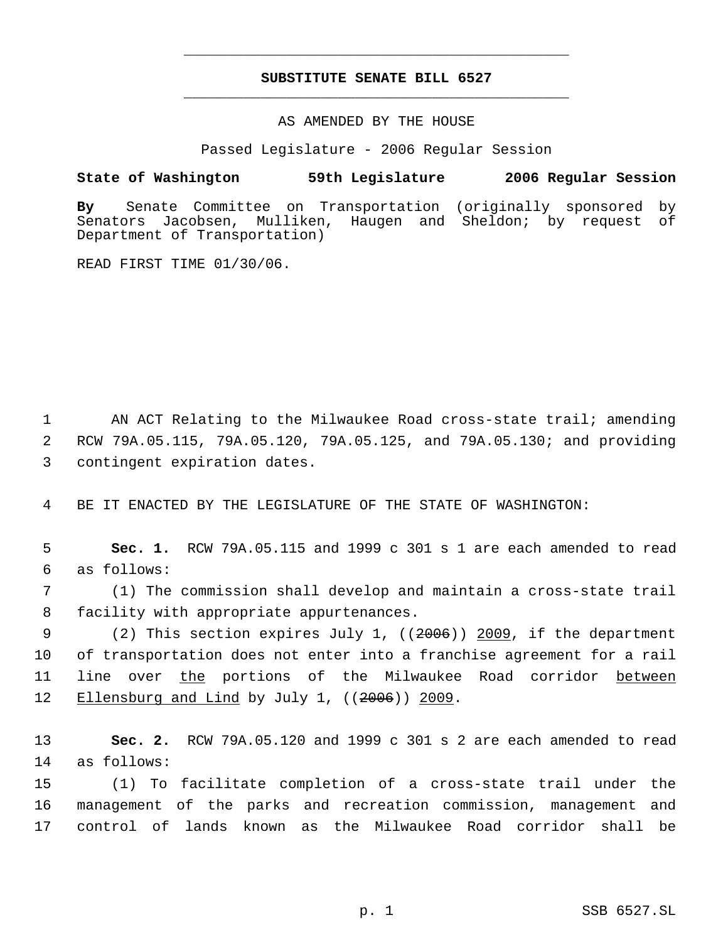## **SUBSTITUTE SENATE BILL 6527** \_\_\_\_\_\_\_\_\_\_\_\_\_\_\_\_\_\_\_\_\_\_\_\_\_\_\_\_\_\_\_\_\_\_\_\_\_\_\_\_\_\_\_\_\_

\_\_\_\_\_\_\_\_\_\_\_\_\_\_\_\_\_\_\_\_\_\_\_\_\_\_\_\_\_\_\_\_\_\_\_\_\_\_\_\_\_\_\_\_\_

AS AMENDED BY THE HOUSE

Passed Legislature - 2006 Regular Session

## **State of Washington 59th Legislature 2006 Regular Session**

**By** Senate Committee on Transportation (originally sponsored by Senators Jacobsen, Mulliken, Haugen and Sheldon; by request of Department of Transportation)

READ FIRST TIME 01/30/06.

1 AN ACT Relating to the Milwaukee Road cross-state trail; amending 2 RCW 79A.05.115, 79A.05.120, 79A.05.125, and 79A.05.130; and providing 3 contingent expiration dates.

4 BE IT ENACTED BY THE LEGISLATURE OF THE STATE OF WASHINGTON:

 5 **Sec. 1.** RCW 79A.05.115 and 1999 c 301 s 1 are each amended to read 6 as follows:

 7 (1) The commission shall develop and maintain a cross-state trail 8 facility with appropriate appurtenances.

9 (2) This section expires July 1, ((2006)) 2009, if the department 10 of transportation does not enter into a franchise agreement for a rail 11 line over the portions of the Milwaukee Road corridor between 12 Ellensburg and Lind by July 1, ((2006)) 2009.

13 **Sec. 2.** RCW 79A.05.120 and 1999 c 301 s 2 are each amended to read 14 as follows:

15 (1) To facilitate completion of a cross-state trail under the 16 management of the parks and recreation commission, management and 17 control of lands known as the Milwaukee Road corridor shall be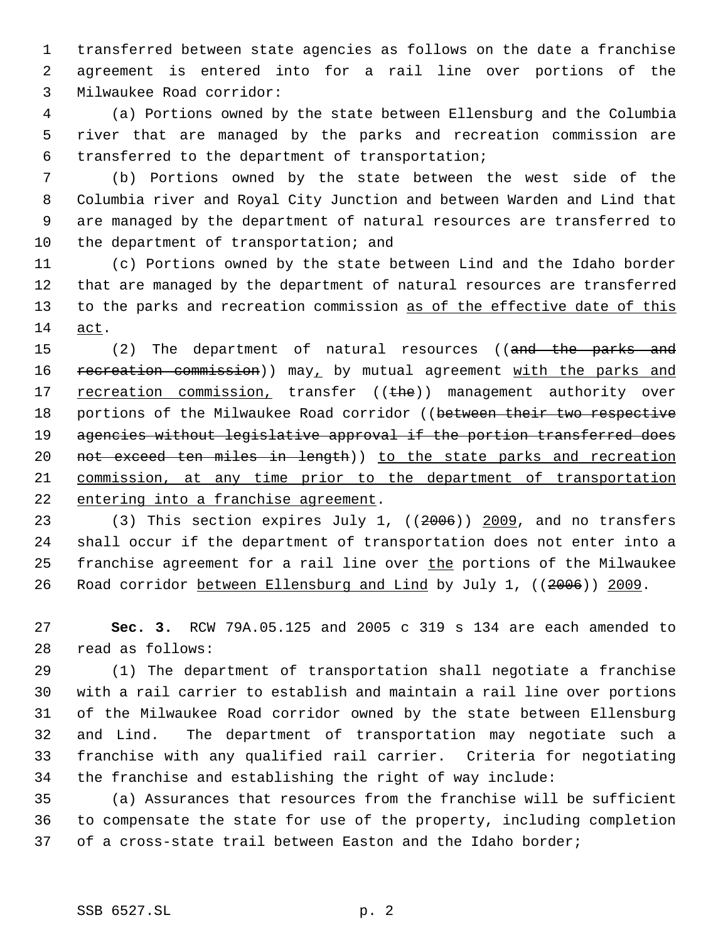transferred between state agencies as follows on the date a franchise agreement is entered into for a rail line over portions of the Milwaukee Road corridor:

 (a) Portions owned by the state between Ellensburg and the Columbia river that are managed by the parks and recreation commission are transferred to the department of transportation;

 (b) Portions owned by the state between the west side of the Columbia river and Royal City Junction and between Warden and Lind that are managed by the department of natural resources are transferred to 10 the department of transportation; and

 (c) Portions owned by the state between Lind and the Idaho border that are managed by the department of natural resources are transferred 13 to the parks and recreation commission as of the effective date of this act.

15 (2) The department of natural resources ((and the parks and 16 recreation commission)) may, by mutual agreement with the parks and 17 recreation commission, transfer ((the)) management authority over 18 portions of the Milwaukee Road corridor ((between their two respective 19 agencies without legislative approval if the portion transferred does 20 not exceed ten miles in length)) to the state parks and recreation commission, at any time prior to the department of transportation entering into a franchise agreement.

23 (3) This section expires July 1, ((2006)) 2009, and no transfers shall occur if the department of transportation does not enter into a 25 franchise agreement for a rail line over the portions of the Milwaukee Road corridor between Ellensburg and Lind by July 1, ((2006)) 2009.

 **Sec. 3.** RCW 79A.05.125 and 2005 c 319 s 134 are each amended to read as follows:

 (1) The department of transportation shall negotiate a franchise with a rail carrier to establish and maintain a rail line over portions of the Milwaukee Road corridor owned by the state between Ellensburg and Lind. The department of transportation may negotiate such a franchise with any qualified rail carrier. Criteria for negotiating the franchise and establishing the right of way include:

 (a) Assurances that resources from the franchise will be sufficient to compensate the state for use of the property, including completion of a cross-state trail between Easton and the Idaho border;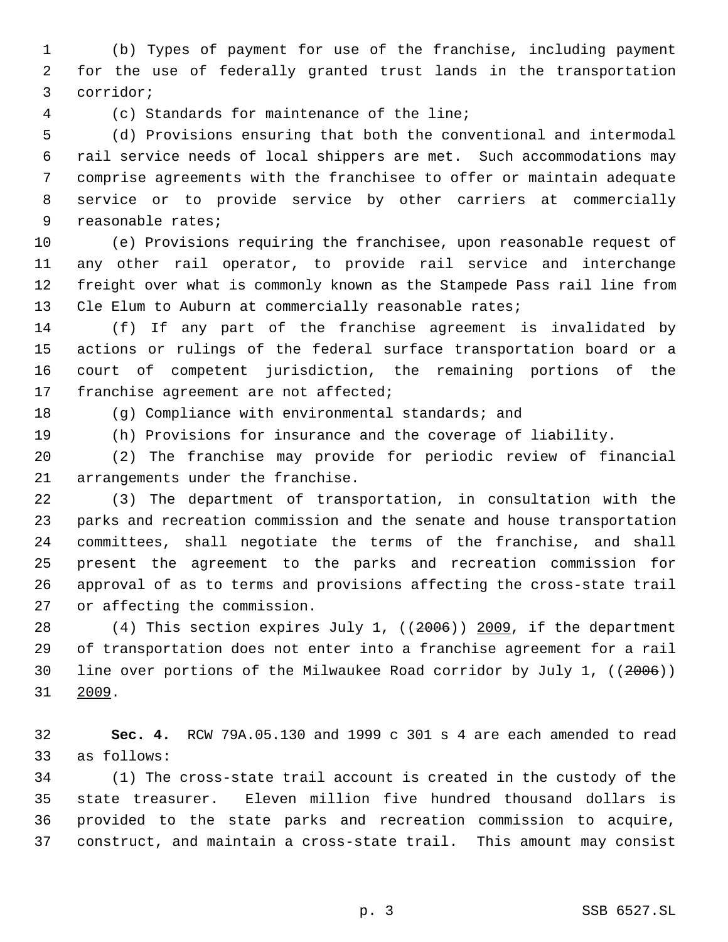(b) Types of payment for use of the franchise, including payment for the use of federally granted trust lands in the transportation corridor;

(c) Standards for maintenance of the line;

 (d) Provisions ensuring that both the conventional and intermodal rail service needs of local shippers are met. Such accommodations may comprise agreements with the franchisee to offer or maintain adequate service or to provide service by other carriers at commercially reasonable rates;

 (e) Provisions requiring the franchisee, upon reasonable request of any other rail operator, to provide rail service and interchange freight over what is commonly known as the Stampede Pass rail line from 13 Cle Elum to Auburn at commercially reasonable rates;

 (f) If any part of the franchise agreement is invalidated by actions or rulings of the federal surface transportation board or a court of competent jurisdiction, the remaining portions of the 17 franchise agreement are not affected;

(g) Compliance with environmental standards; and

(h) Provisions for insurance and the coverage of liability.

 (2) The franchise may provide for periodic review of financial arrangements under the franchise.

 (3) The department of transportation, in consultation with the parks and recreation commission and the senate and house transportation committees, shall negotiate the terms of the franchise, and shall present the agreement to the parks and recreation commission for approval of as to terms and provisions affecting the cross-state trail or affecting the commission.

 (4) This section expires July 1, ((2006)) 2009, if the department of transportation does not enter into a franchise agreement for a rail line over portions of the Milwaukee Road corridor by July 1, ((2006)) 2009.

 **Sec. 4.** RCW 79A.05.130 and 1999 c 301 s 4 are each amended to read as follows:

 (1) The cross-state trail account is created in the custody of the state treasurer. Eleven million five hundred thousand dollars is provided to the state parks and recreation commission to acquire, construct, and maintain a cross-state trail. This amount may consist